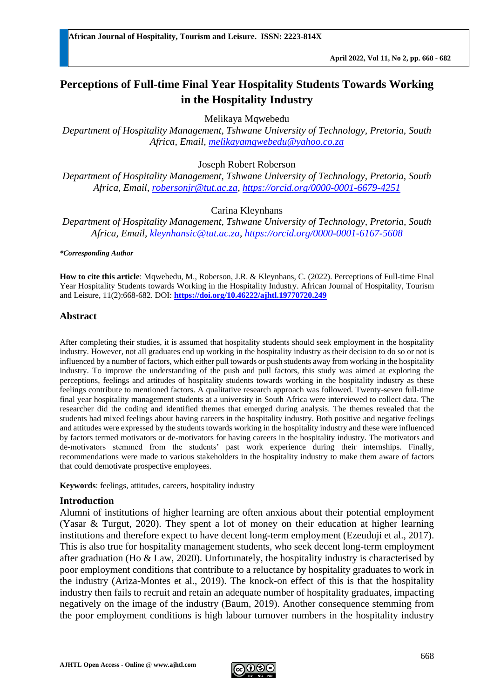# **Perceptions of Full-time Final Year Hospitality Students Towards Working in the Hospitality Industry**

Melikaya Mqwebedu

*Department of Hospitality Management, Tshwane University of Technology, Pretoria, South Africa, Email, [melikayamqwebedu@yahoo.co.za](mailto:melikayamqwebedu@yahoo.co.za)*

Joseph Robert Roberson

*Department of Hospitality Management, Tshwane University of Technology, Pretoria, South Africa, Email, [robersonjr@tut.ac.za,](mailto:robersonjr@tut.ac.za)<https://orcid.org/0000-0001-6679-4251>*

# Carina Kleynhans

*Department of Hospitality Management, Tshwane University of Technology, Pretoria, South Africa, Email, [kleynhansic@tut.ac.za,](mailto:kleynhansic@tut.ac.za)<https://orcid.org/0000-0001-6167-5608>*

*\*Corresponding Author*

**How to cite this article**: Mqwebedu, M., Roberson, J.R. & Kleynhans, C. (2022). Perceptions of Full-time Final Year Hospitality Students towards Working in the Hospitality Industry. African Journal of Hospitality, Tourism and Leisure, 11(2):668-682. DOI: **<https://doi.org/10.46222/ajhtl.19770720.249>**

#### **Abstract**

After completing their studies, it is assumed that hospitality students should seek employment in the hospitality industry. However, not all graduates end up working in the hospitality industry as their decision to do so or not is influenced by a number of factors, which either pull towards or push students away from working in the hospitality industry. To improve the understanding of the push and pull factors, this study was aimed at exploring the perceptions, feelings and attitudes of hospitality students towards working in the hospitality industry as these feelings contribute to mentioned factors. A qualitative research approach was followed. Twenty-seven full-time final year hospitality management students at a university in South Africa were interviewed to collect data. The researcher did the coding and identified themes that emerged during analysis. The themes revealed that the students had mixed feelings about having careers in the hospitality industry. Both positive and negative feelings and attitudes were expressed by the students towards working in the hospitality industry and these were influenced by factors termed motivators or de-motivators for having careers in the hospitality industry. The motivators and de-motivators stemmed from the students' past work experience during their internships. Finally, recommendations were made to various stakeholders in the hospitality industry to make them aware of factors that could demotivate prospective employees.

**Keywords**: feelings, attitudes, careers, hospitality industry

# **Introduction**

Alumni of institutions of higher learning are often anxious about their potential employment (Yasar & Turgut, 2020). They spent a lot of money on their education at higher learning institutions and therefore expect to have decent long-term employment (Ezeuduji et al., 2017). This is also true for hospitality management students, who seek decent long-term employment after graduation (Ho  $\&$  Law, 2020). Unfortunately, the hospitality industry is characterised by poor employment conditions that contribute to a reluctance by hospitality graduates to work in the industry (Ariza-Montes et al., 2019). The knock-on effect of this is that the hospitality industry then fails to recruit and retain an adequate number of hospitality graduates, impacting negatively on the image of the industry (Baum, 2019). Another consequence stemming from the poor employment conditions is high labour turnover numbers in the hospitality industry

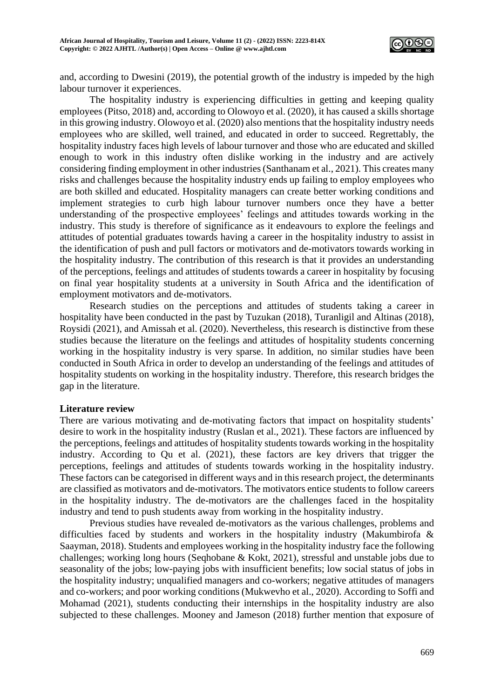

and, according to Dwesini (2019), the potential growth of the industry is impeded by the high labour turnover it experiences.

The hospitality industry is experiencing difficulties in getting and keeping quality employees (Pitso, 2018) and, according to Olowoyo et al. (2020), it has caused a skills shortage in this growing industry. Olowoyo et al. (2020) also mentions that the hospitality industry needs employees who are skilled, well trained, and educated in order to succeed. Regrettably, the hospitality industry faces high levels of labour turnover and those who are educated and skilled enough to work in this industry often dislike working in the industry and are actively considering finding employment in other industries (Santhanam et al., 2021). This creates many risks and challenges because the hospitality industry ends up failing to employ employees who are both skilled and educated. Hospitality managers can create better working conditions and implement strategies to curb high labour turnover numbers once they have a better understanding of the prospective employees' feelings and attitudes towards working in the industry. This study is therefore of significance as it endeavours to explore the feelings and attitudes of potential graduates towards having a career in the hospitality industry to assist in the identification of push and pull factors or motivators and de-motivators towards working in the hospitality industry. The contribution of this research is that it provides an understanding of the perceptions, feelings and attitudes of students towards a career in hospitality by focusing on final year hospitality students at a university in South Africa and the identification of employment motivators and de-motivators.

Research studies on the perceptions and attitudes of students taking a career in hospitality have been conducted in the past by Tuzukan (2018), Turanligil and Altinas (2018), Roysidi (2021), and Amissah et al. (2020). Nevertheless, this research is distinctive from these studies because the literature on the feelings and attitudes of hospitality students concerning working in the hospitality industry is very sparse. In addition, no similar studies have been conducted in South Africa in order to develop an understanding of the feelings and attitudes of hospitality students on working in the hospitality industry. Therefore, this research bridges the gap in the literature.

#### **Literature review**

There are various motivating and de-motivating factors that impact on hospitality students' desire to work in the hospitality industry (Ruslan et al., 2021). These factors are influenced by the perceptions, feelings and attitudes of hospitality students towards working in the hospitality industry. According to Qu et al. (2021), these factors are key drivers that trigger the perceptions, feelings and attitudes of students towards working in the hospitality industry. These factors can be categorised in different ways and in this research project, the determinants are classified as motivators and de-motivators. The motivators entice students to follow careers in the hospitality industry. The de-motivators are the challenges faced in the hospitality industry and tend to push students away from working in the hospitality industry.

Previous studies have revealed de-motivators as the various challenges, problems and difficulties faced by students and workers in the hospitality industry (Makumbirofa & Saayman, 2018). Students and employees working in the hospitality industry face the following challenges; working long hours (Seqhobane & Kokt, 2021), stressful and unstable jobs due to seasonality of the jobs; low-paying jobs with insufficient benefits; low social status of jobs in the hospitality industry; unqualified managers and co-workers; negative attitudes of managers and co-workers; and poor working conditions (Mukwevho et al., 2020). According to Soffi and Mohamad (2021), students conducting their internships in the hospitality industry are also subjected to these challenges. Mooney and Jameson (2018) further mention that exposure of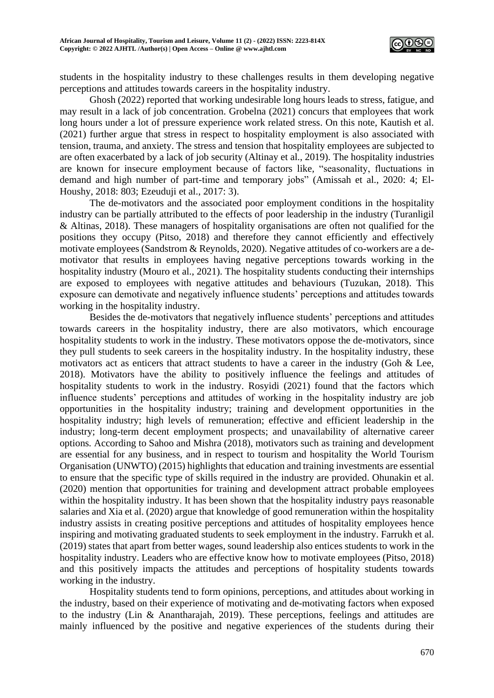

students in the hospitality industry to these challenges results in them developing negative perceptions and attitudes towards careers in the hospitality industry.

Ghosh (2022) reported that working undesirable long hours leads to stress, fatigue, and may result in a lack of job concentration. Grobelna (2021) concurs that employees that work long hours under a lot of pressure experience work related stress. On this note, Kautish et al. (2021) further argue that stress in respect to hospitality employment is also associated with tension, trauma, and anxiety. The stress and tension that hospitality employees are subjected to are often exacerbated by a lack of job security (Altinay et al., 2019). The hospitality industries are known for insecure employment because of factors like*,* "seasonality, fluctuations in demand and high number of part-time and temporary jobs" (Amissah et al., 2020: 4; El-Houshy, 2018: 803; Ezeuduji et al., 2017: 3).

The de-motivators and the associated poor employment conditions in the hospitality industry can be partially attributed to the effects of poor leadership in the industry (Turanligil & Altinas, 2018). These managers of hospitality organisations are often not qualified for the positions they occupy (Pitso, 2018) and therefore they cannot efficiently and effectively motivate employees (Sandstrom & Reynolds, 2020). Negative attitudes of co-workers are a demotivator that results in employees having negative perceptions towards working in the hospitality industry (Mouro et al., 2021). The hospitality students conducting their internships are exposed to employees with negative attitudes and behaviours (Tuzukan, 2018). This exposure can demotivate and negatively influence students' perceptions and attitudes towards working in the hospitality industry.

Besides the de-motivators that negatively influence students' perceptions and attitudes towards careers in the hospitality industry, there are also motivators, which encourage hospitality students to work in the industry. These motivators oppose the de-motivators, since they pull students to seek careers in the hospitality industry. In the hospitality industry, these motivators act as enticers that attract students to have a career in the industry (Goh & Lee, 2018). Motivators have the ability to positively influence the feelings and attitudes of hospitality students to work in the industry. Rosyidi (2021) found that the factors which influence students' perceptions and attitudes of working in the hospitality industry are job opportunities in the hospitality industry; training and development opportunities in the hospitality industry; high levels of remuneration; effective and efficient leadership in the industry; long-term decent employment prospects; and unavailability of alternative career options*.* According to Sahoo and Mishra (2018), motivators such as training and development are essential for any business, and in respect to tourism and hospitality the World Tourism Organisation (UNWTO) (2015) highlights that education and training investments are essential to ensure that the specific type of skills required in the industry are provided. Ohunakin et al. (2020) mention that opportunities for training and development attract probable employees within the hospitality industry. It has been shown that the hospitality industry pays reasonable salaries and Xia et al. (2020) argue that knowledge of good remuneration within the hospitality industry assists in creating positive perceptions and attitudes of hospitality employees hence inspiring and motivating graduated students to seek employment in the industry. Farrukh et al. (2019) states that apart from better wages, sound leadership also entices students to work in the hospitality industry. Leaders who are effective know how to motivate employees (Pitso, 2018) and this positively impacts the attitudes and perceptions of hospitality students towards working in the industry.

Hospitality students tend to form opinions, perceptions, and attitudes about working in the industry, based on their experience of motivating and de-motivating factors when exposed to the industry (Lin & Anantharajah, 2019). These perceptions, feelings and attitudes are mainly influenced by the positive and negative experiences of the students during their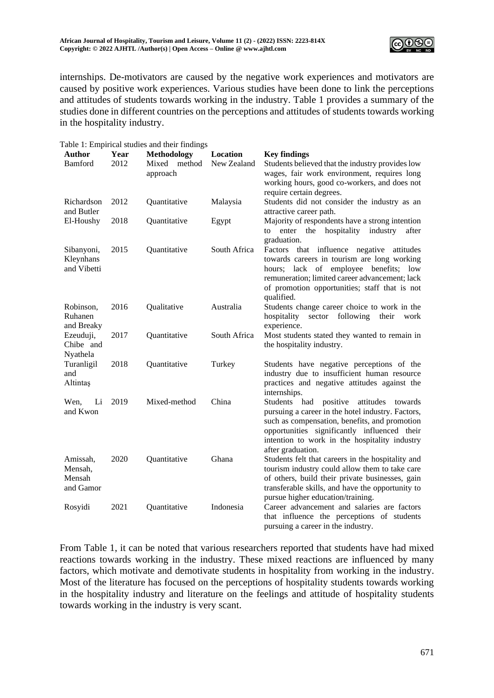

internships. De-motivators are caused by the negative work experiences and motivators are caused by positive work experiences. Various studies have been done to link the perceptions and attitudes of students towards working in the industry. Table 1 provides a summary of the studies done in different countries on the perceptions and attitudes of students towards working in the hospitality industry.

|                                            |              | Table 1: Empirical studies and their findings |                                |                                                                                                                                                                                                                                                                                 |
|--------------------------------------------|--------------|-----------------------------------------------|--------------------------------|---------------------------------------------------------------------------------------------------------------------------------------------------------------------------------------------------------------------------------------------------------------------------------|
| <b>Author</b><br>Bamford                   | Year<br>2012 | Methodology<br>Mixed method<br>approach       | <b>Location</b><br>New Zealand | <b>Key findings</b><br>Students believed that the industry provides low<br>wages, fair work environment, requires long<br>working hours, good co-workers, and does not<br>require certain degrees.                                                                              |
| Richardson<br>and Butler                   | 2012         | Quantitative                                  | Malaysia                       | Students did not consider the industry as an<br>attractive career path.                                                                                                                                                                                                         |
| El-Houshy                                  | 2018         | Quantitative                                  | Egypt                          | Majority of respondents have a strong intention<br>hospitality<br>enter the<br>industry<br>after<br>to<br>graduation.                                                                                                                                                           |
| Sibanyoni,<br>Kleynhans<br>and Vibetti     | 2015         | Quantitative                                  | South Africa                   | Factors that influence negative attitudes<br>towards careers in tourism are long working<br>hours; lack of employee benefits; low<br>remuneration; limited career advancement; lack<br>of promotion opportunities; staff that is not<br>qualified.                              |
| Robinson,<br>Ruhanen<br>and Breaky         | 2016         | Qualitative                                   | Australia                      | Students change career choice to work in the<br>hospitality<br>sector following<br>their<br>work<br>experience.                                                                                                                                                                 |
| Ezeuduji,<br>Chibe and<br>Nyathela         | 2017         | Quantitative                                  | South Africa                   | Most students stated they wanted to remain in<br>the hospitality industry.                                                                                                                                                                                                      |
| Turanligil<br>and<br>Altintaş              | 2018         | Quantitative                                  | Turkey                         | Students have negative perceptions of the<br>industry due to insufficient human resource<br>practices and negative attitudes against the<br>internships.                                                                                                                        |
| Li<br>Wen,<br>and Kwon                     | 2019         | Mixed-method                                  | China                          | Students<br>had<br>positive<br>attitudes<br>towards<br>pursuing a career in the hotel industry. Factors,<br>such as compensation, benefits, and promotion<br>opportunities significantly influenced their<br>intention to work in the hospitality industry<br>after graduation. |
| Amissah,<br>Mensah,<br>Mensah<br>and Gamor | 2020         | Quantitative                                  | Ghana                          | Students felt that careers in the hospitality and<br>tourism industry could allow them to take care<br>of others, build their private businesses, gain<br>transferable skills, and have the opportunity to<br>pursue higher education/training.                                 |
| Rosyidi                                    | 2021         | Quantitative                                  | Indonesia                      | Career advancement and salaries are factors<br>that influence the perceptions of students<br>pursuing a career in the industry.                                                                                                                                                 |

From Table 1, it can be noted that various researchers reported that students have had mixed reactions towards working in the industry. These mixed reactions are influenced by many factors, which motivate and demotivate students in hospitality from working in the industry. Most of the literature has focused on the perceptions of hospitality students towards working in the hospitality industry and literature on the feelings and attitude of hospitality students towards working in the industry is very scant.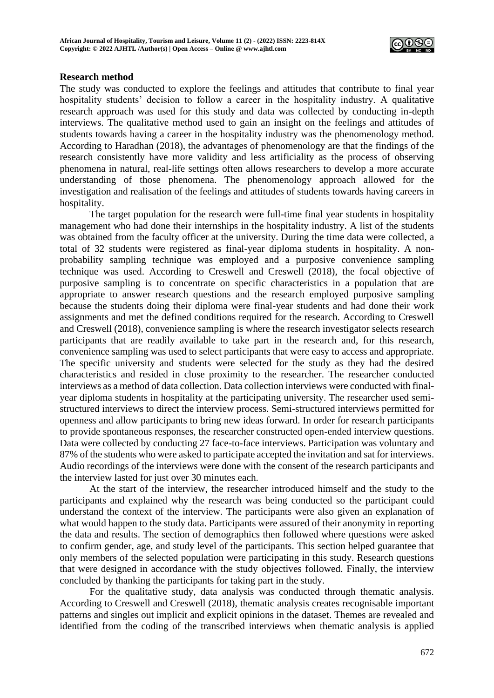

### **Research method**

The study was conducted to explore the feelings and attitudes that contribute to final year hospitality students' decision to follow a career in the hospitality industry. A qualitative research approach was used for this study and data was collected by conducting in-depth interviews. The qualitative method used to gain an insight on the feelings and attitudes of students towards having a career in the hospitality industry was the phenomenology method. According to Haradhan (2018), the advantages of phenomenology are that the findings of the research consistently have more validity and less artificiality as the process of observing phenomena in natural, real-life settings often allows researchers to develop a more accurate understanding of those phenomena. The phenomenology approach allowed for the investigation and realisation of the feelings and attitudes of students towards having careers in hospitality.

The target population for the research were full-time final year students in hospitality management who had done their internships in the hospitality industry. A list of the students was obtained from the faculty officer at the university. During the time data were collected, a total of 32 students were registered as final-year diploma students in hospitality. A nonprobability sampling technique was employed and a purposive convenience sampling technique was used. According to Creswell and Creswell (2018), the focal objective of purposive sampling is to concentrate on specific characteristics in a population that are appropriate to answer research questions and the research employed purposive sampling because the students doing their diploma were final-year students and had done their work assignments and met the defined conditions required for the research. According to Creswell and Creswell (2018), convenience sampling is where the research investigator selects research participants that are readily available to take part in the research and, for this research, convenience sampling was used to select participants that were easy to access and appropriate. The specific university and students were selected for the study as they had the desired characteristics and resided in close proximity to the researcher. The researcher conducted interviews as a method of data collection. Data collection interviews were conducted with finalyear diploma students in hospitality at the participating university. The researcher used semistructured interviews to direct the interview process. Semi-structured interviews permitted for openness and allow participants to bring new ideas forward. In order for research participants to provide spontaneous responses, the researcher constructed open-ended interview questions. Data were collected by conducting 27 face-to-face interviews. Participation was voluntary and 87% of the students who were asked to participate accepted the invitation and sat for interviews. Audio recordings of the interviews were done with the consent of the research participants and the interview lasted for just over 30 minutes each.

At the start of the interview, the researcher introduced himself and the study to the participants and explained why the research was being conducted so the participant could understand the context of the interview. The participants were also given an explanation of what would happen to the study data. Participants were assured of their anonymity in reporting the data and results. The section of demographics then followed where questions were asked to confirm gender, age, and study level of the participants. This section helped guarantee that only members of the selected population were participating in this study. Research questions that were designed in accordance with the study objectives followed. Finally, the interview concluded by thanking the participants for taking part in the study.

For the qualitative study, data analysis was conducted through thematic analysis. According to Creswell and Creswell (2018), thematic analysis creates recognisable important patterns and singles out implicit and explicit opinions in the dataset. Themes are revealed and identified from the coding of the transcribed interviews when thematic analysis is applied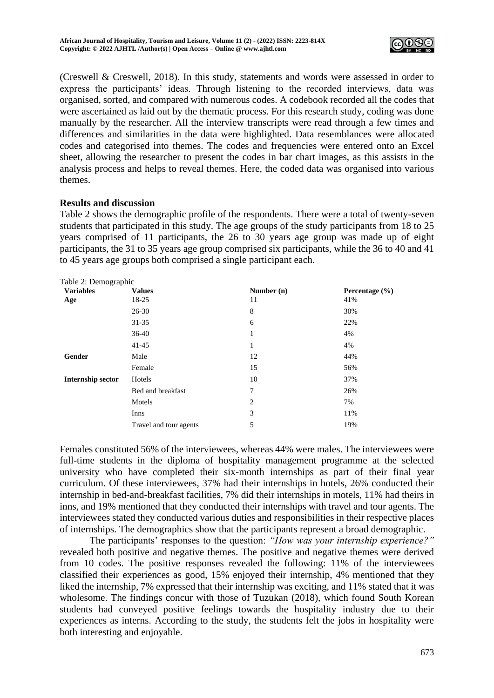

(Creswell & Creswell, 2018). In this study, statements and words were assessed in order to express the participants' ideas. Through listening to the recorded interviews, data was organised, sorted, and compared with numerous codes. A codebook recorded all the codes that were ascertained as laid out by the thematic process. For this research study, coding was done manually by the researcher. All the interview transcripts were read through a few times and differences and similarities in the data were highlighted. Data resemblances were allocated codes and categorised into themes. The codes and frequencies were entered onto an Excel sheet, allowing the researcher to present the codes in bar chart images, as this assists in the analysis process and helps to reveal themes. Here, the coded data was organised into various themes.

## **Results and discussion**

Table 2 shows the demographic profile of the respondents. There were a total of twenty-seven students that participated in this study. The age groups of the study participants from 18 to 25 years comprised of 11 participants, the 26 to 30 years age group was made up of eight participants, the 31 to 35 years age group comprised six participants, while the 36 to 40 and 41 to 45 years age groups both comprised a single participant each.

| Table 2: Demographic |                        |              |                |
|----------------------|------------------------|--------------|----------------|
| <b>Variables</b>     | <b>Values</b>          | Number $(n)$ | Percentage (%) |
| Age                  | 18-25                  | 11           | 41%            |
|                      | $26 - 30$              | 8            | 30%            |
|                      | 31-35                  | 6            | 22%            |
|                      | $36-40$                | 1            | 4%             |
|                      | $41 - 45$              | 1            | 4%             |
| Gender               | Male                   | 12           | 44%            |
|                      | Female                 | 15           | 56%            |
| Internship sector    | Hotels                 | 10           | 37%            |
|                      | Bed and breakfast      | 7            | 26%            |
|                      | Motels                 | 2            | 7%             |
|                      | Inns                   | 3            | 11%            |
|                      | Travel and tour agents | 5            | 19%            |

Females constituted 56% of the interviewees, whereas 44% were males. The interviewees were full-time students in the diploma of hospitality management programme at the selected university who have completed their six-month internships as part of their final year curriculum. Of these interviewees, 37% had their internships in hotels, 26% conducted their internship in bed-and-breakfast facilities, 7% did their internships in motels, 11% had theirs in inns, and 19% mentioned that they conducted their internships with travel and tour agents. The interviewees stated they conducted various duties and responsibilities in their respective places of internships. The demographics show that the participants represent a broad demographic.

The participants' responses to the question: *"How was your internship experience?"* revealed both positive and negative themes. The positive and negative themes were derived from 10 codes. The positive responses revealed the following: 11% of the interviewees classified their experiences as good, 15% enjoyed their internship, 4% mentioned that they liked the internship, 7% expressed that their internship was exciting, and 11% stated that it was wholesome. The findings concur with those of Tuzukan (2018), which found South Korean students had conveyed positive feelings towards the hospitality industry due to their experiences as interns. According to the study, the students felt the jobs in hospitality were both interesting and enjoyable.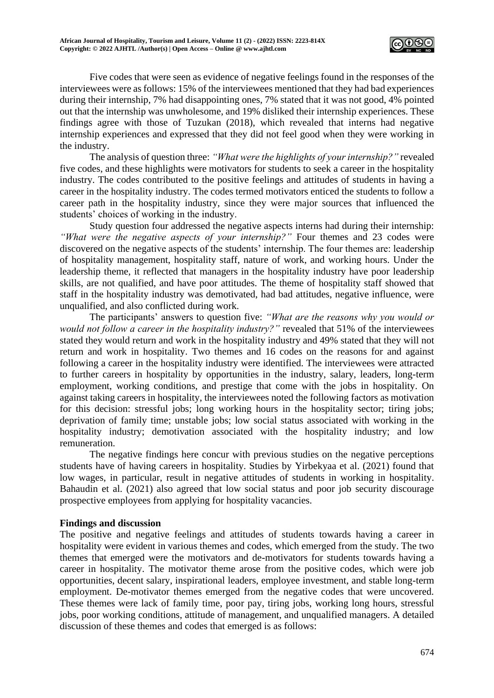

Five codes that were seen as evidence of negative feelings found in the responses of the interviewees were as follows: 15% of the interviewees mentioned that they had bad experiences during their internship, 7% had disappointing ones, 7% stated that it was not good, 4% pointed out that the internship was unwholesome, and 19% disliked their internship experiences. These findings agree with those of Tuzukan (2018), which revealed that interns had negative internship experiences and expressed that they did not feel good when they were working in the industry.

The analysis of question three: *"What were the highlights of your internship?"* revealed five codes, and these highlights were motivators for students to seek a career in the hospitality industry. The codes contributed to the positive feelings and attitudes of students in having a career in the hospitality industry. The codes termed motivators enticed the students to follow a career path in the hospitality industry, since they were major sources that influenced the students' choices of working in the industry.

Study question four addressed the negative aspects interns had during their internship: *"What were the negative aspects of your internship?"* Four themes and 23 codes were discovered on the negative aspects of the students' internship. The four themes are: leadership of hospitality management, hospitality staff, nature of work, and working hours. Under the leadership theme, it reflected that managers in the hospitality industry have poor leadership skills, are not qualified, and have poor attitudes. The theme of hospitality staff showed that staff in the hospitality industry was demotivated, had bad attitudes, negative influence, were unqualified, and also conflicted during work.

The participants' answers to question five: *"What are the reasons why you would or would not follow a career in the hospitality industry?"* revealed that 51% of the interviewees stated they would return and work in the hospitality industry and 49% stated that they will not return and work in hospitality. Two themes and 16 codes on the reasons for and against following a career in the hospitality industry were identified. The interviewees were attracted to further careers in hospitality by opportunities in the industry, salary, leaders, long-term employment, working conditions, and prestige that come with the jobs in hospitality. On against taking careers in hospitality, the interviewees noted the following factors as motivation for this decision: stressful jobs; long working hours in the hospitality sector; tiring jobs; deprivation of family time; unstable jobs; low social status associated with working in the hospitality industry; demotivation associated with the hospitality industry; and low remuneration.

The negative findings here concur with previous studies on the negative perceptions students have of having careers in hospitality. Studies by Yirbekyaa et al. (2021) found that low wages, in particular, result in negative attitudes of students in working in hospitality. Bahaudin et al. (2021) also agreed that low social status and poor job security discourage prospective employees from applying for hospitality vacancies.

# **Findings and discussion**

The positive and negative feelings and attitudes of students towards having a career in hospitality were evident in various themes and codes, which emerged from the study. The two themes that emerged were the motivators and de-motivators for students towards having a career in hospitality. The motivator theme arose from the positive codes, which were job opportunities, decent salary, inspirational leaders, employee investment, and stable long-term employment. De-motivator themes emerged from the negative codes that were uncovered. These themes were lack of family time, poor pay, tiring jobs, working long hours, stressful jobs, poor working conditions, attitude of management, and unqualified managers. A detailed discussion of these themes and codes that emerged is as follows: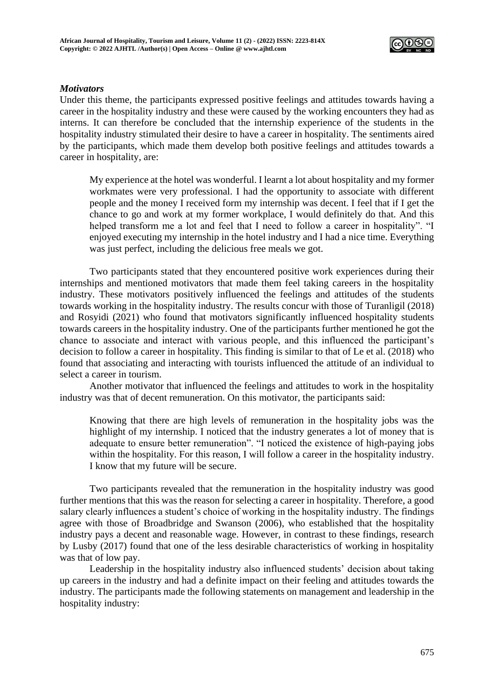

## *Motivators*

Under this theme, the participants expressed positive feelings and attitudes towards having a career in the hospitality industry and these were caused by the working encounters they had as interns. It can therefore be concluded that the internship experience of the students in the hospitality industry stimulated their desire to have a career in hospitality. The sentiments aired by the participants, which made them develop both positive feelings and attitudes towards a career in hospitality, are:

My experience at the hotel was wonderful. I learnt a lot about hospitality and my former workmates were very professional. I had the opportunity to associate with different people and the money I received form my internship was decent. I feel that if I get the chance to go and work at my former workplace, I would definitely do that. And this helped transform me a lot and feel that I need to follow a career in hospitality". "I enjoyed executing my internship in the hotel industry and I had a nice time. Everything was just perfect, including the delicious free meals we got.

Two participants stated that they encountered positive work experiences during their internships and mentioned motivators that made them feel taking careers in the hospitality industry. These motivators positively influenced the feelings and attitudes of the students towards working in the hospitality industry. The results concur with those of Turanligil (2018) and Rosyidi (2021) who found that motivators significantly influenced hospitality students towards careers in the hospitality industry. One of the participants further mentioned he got the chance to associate and interact with various people, and this influenced the participant's decision to follow a career in hospitality. This finding is similar to that of Le et al. (2018) who found that associating and interacting with tourists influenced the attitude of an individual to select a career in tourism.

Another motivator that influenced the feelings and attitudes to work in the hospitality industry was that of decent remuneration. On this motivator, the participants said:

Knowing that there are high levels of remuneration in the hospitality jobs was the highlight of my internship. I noticed that the industry generates a lot of money that is adequate to ensure better remuneration". "I noticed the existence of high-paying jobs within the hospitality. For this reason, I will follow a career in the hospitality industry. I know that my future will be secure.

Two participants revealed that the remuneration in the hospitality industry was good further mentions that this was the reason for selecting a career in hospitality. Therefore, a good salary clearly influences a student's choice of working in the hospitality industry. The findings agree with those of Broadbridge and Swanson (2006), who established that the hospitality industry pays a decent and reasonable wage. However, in contrast to these findings, research by Lusby (2017) found that one of the less desirable characteristics of working in hospitality was that of low pay.

Leadership in the hospitality industry also influenced students' decision about taking up careers in the industry and had a definite impact on their feeling and attitudes towards the industry. The participants made the following statements on management and leadership in the hospitality industry: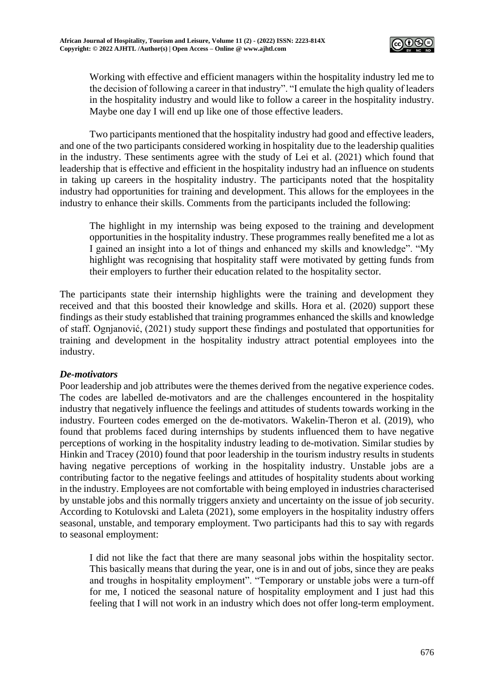

Working with effective and efficient managers within the hospitality industry led me to the decision of following a career in that industry". "I emulate the high quality of leaders in the hospitality industry and would like to follow a career in the hospitality industry. Maybe one day I will end up like one of those effective leaders.

Two participants mentioned that the hospitality industry had good and effective leaders, and one of the two participants considered working in hospitality due to the leadership qualities in the industry. These sentiments agree with the study of Lei et al. (2021) which found that leadership that is effective and efficient in the hospitality industry had an influence on students in taking up careers in the hospitality industry. The participants noted that the hospitality industry had opportunities for training and development. This allows for the employees in the industry to enhance their skills. Comments from the participants included the following:

The highlight in my internship was being exposed to the training and development opportunities in the hospitality industry. These programmes really benefited me a lot as I gained an insight into a lot of things and enhanced my skills and knowledge". "My highlight was recognising that hospitality staff were motivated by getting funds from their employers to further their education related to the hospitality sector.

The participants state their internship highlights were the training and development they received and that this boosted their knowledge and skills. Hora et al. (2020) support these findings as their study established that training programmes enhanced the skills and knowledge of staff. Ognjanović, (2021) study support these findings and postulated that opportunities for training and development in the hospitality industry attract potential employees into the industry.

# *De-motivators*

Poor leadership and job attributes were the themes derived from the negative experience codes. The codes are labelled de-motivators and are the challenges encountered in the hospitality industry that negatively influence the feelings and attitudes of students towards working in the industry. Fourteen codes emerged on the de-motivators. Wakelin-Theron et al. (2019), who found that problems faced during internships by students influenced them to have negative perceptions of working in the hospitality industry leading to de-motivation. Similar studies by Hinkin and Tracey (2010) found that poor leadership in the tourism industry results in students having negative perceptions of working in the hospitality industry. Unstable jobs are a contributing factor to the negative feelings and attitudes of hospitality students about working in the industry. Employees are not comfortable with being employed in industries characterised by unstable jobs and this normally triggers anxiety and uncertainty on the issue of job security. According to Kotulovski and Laleta (2021), some employers in the hospitality industry offers seasonal, unstable, and temporary employment. Two participants had this to say with regards to seasonal employment:

I did not like the fact that there are many seasonal jobs within the hospitality sector. This basically means that during the year, one is in and out of jobs, since they are peaks and troughs in hospitality employment". "Temporary or unstable jobs were a turn-off for me, I noticed the seasonal nature of hospitality employment and I just had this feeling that I will not work in an industry which does not offer long-term employment.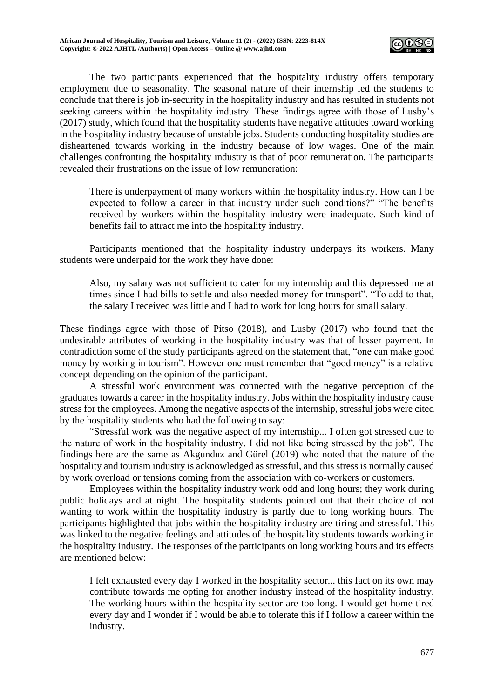

The two participants experienced that the hospitality industry offers temporary employment due to seasonality. The seasonal nature of their internship led the students to conclude that there is job in-security in the hospitality industry and has resulted in students not seeking careers within the hospitality industry. These findings agree with those of Lusby's (2017) study, which found that the hospitality students have negative attitudes toward working in the hospitality industry because of unstable jobs. Students conducting hospitality studies are disheartened towards working in the industry because of low wages. One of the main challenges confronting the hospitality industry is that of poor remuneration. The participants revealed their frustrations on the issue of low remuneration:

There is underpayment of many workers within the hospitality industry. How can I be expected to follow a career in that industry under such conditions?" "The benefits received by workers within the hospitality industry were inadequate. Such kind of benefits fail to attract me into the hospitality industry.

Participants mentioned that the hospitality industry underpays its workers. Many students were underpaid for the work they have done:

Also, my salary was not sufficient to cater for my internship and this depressed me at times since I had bills to settle and also needed money for transport". "To add to that, the salary I received was little and I had to work for long hours for small salary.

These findings agree with those of Pitso (2018), and Lusby (2017) who found that the undesirable attributes of working in the hospitality industry was that of lesser payment. In contradiction some of the study participants agreed on the statement that*,* "one can make good money by working in tourism". However one must remember that "good money" is a relative concept depending on the opinion of the participant.

A stressful work environment was connected with the negative perception of the graduates towards a career in the hospitality industry. Jobs within the hospitality industry cause stress for the employees. Among the negative aspects of the internship, stressful jobs were cited by the hospitality students who had the following to say:

"Stressful work was the negative aspect of my internship... I often got stressed due to the nature of work in the hospitality industry. I did not like being stressed by the job". The findings here are the same as Akgunduz and Gürel (2019) who noted that the nature of the hospitality and tourism industry is acknowledged as stressful, and this stress is normally caused by work overload or tensions coming from the association with co-workers or customers.

Employees within the hospitality industry work odd and long hours; they work during public holidays and at night. The hospitality students pointed out that their choice of not wanting to work within the hospitality industry is partly due to long working hours. The participants highlighted that jobs within the hospitality industry are tiring and stressful. This was linked to the negative feelings and attitudes of the hospitality students towards working in the hospitality industry. The responses of the participants on long working hours and its effects are mentioned below:

I felt exhausted every day I worked in the hospitality sector... this fact on its own may contribute towards me opting for another industry instead of the hospitality industry. The working hours within the hospitality sector are too long. I would get home tired every day and I wonder if I would be able to tolerate this if I follow a career within the industry.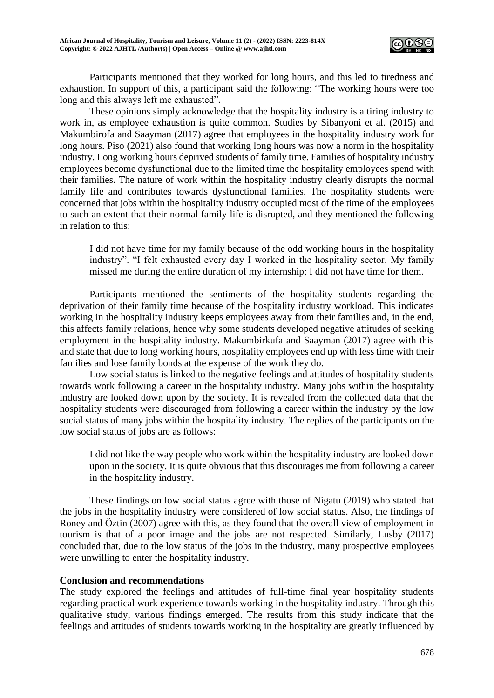

Participants mentioned that they worked for long hours, and this led to tiredness and exhaustion. In support of this, a participant said the following: "The working hours were too long and this always left me exhausted"*.*

These opinions simply acknowledge that the hospitality industry is a tiring industry to work in, as employee exhaustion is quite common. Studies by Sibanyoni et al. (2015) and Makumbirofa and Saayman (2017) agree that employees in the hospitality industry work for long hours. Piso (2021) also found that working long hours was now a norm in the hospitality industry. Long working hours deprived students of family time. Families of hospitality industry employees become dysfunctional due to the limited time the hospitality employees spend with their families. The nature of work within the hospitality industry clearly disrupts the normal family life and contributes towards dysfunctional families. The hospitality students were concerned that jobs within the hospitality industry occupied most of the time of the employees to such an extent that their normal family life is disrupted, and they mentioned the following in relation to this:

I did not have time for my family because of the odd working hours in the hospitality industry". "I felt exhausted every day I worked in the hospitality sector. My family missed me during the entire duration of my internship; I did not have time for them.

Participants mentioned the sentiments of the hospitality students regarding the deprivation of their family time because of the hospitality industry workload. This indicates working in the hospitality industry keeps employees away from their families and, in the end, this affects family relations, hence why some students developed negative attitudes of seeking employment in the hospitality industry. Makumbirkufa and Saayman (2017) agree with this and state that due to long working hours, hospitality employees end up with less time with their families and lose family bonds at the expense of the work they do.

Low social status is linked to the negative feelings and attitudes of hospitality students towards work following a career in the hospitality industry. Many jobs within the hospitality industry are looked down upon by the society. It is revealed from the collected data that the hospitality students were discouraged from following a career within the industry by the low social status of many jobs within the hospitality industry. The replies of the participants on the low social status of jobs are as follows:

I did not like the way people who work within the hospitality industry are looked down upon in the society. It is quite obvious that this discourages me from following a career in the hospitality industry.

These findings on low social status agree with those of Nigatu (2019) who stated that the jobs in the hospitality industry were considered of low social status. Also, the findings of Roney and Öztin (2007) agree with this, as they found that the overall view of employment in tourism is that of a poor image and the jobs are not respected. Similarly, Lusby (2017) concluded that, due to the low status of the jobs in the industry, many prospective employees were unwilling to enter the hospitality industry.

#### **Conclusion and recommendations**

The study explored the feelings and attitudes of full-time final year hospitality students regarding practical work experience towards working in the hospitality industry. Through this qualitative study, various findings emerged. The results from this study indicate that the feelings and attitudes of students towards working in the hospitality are greatly influenced by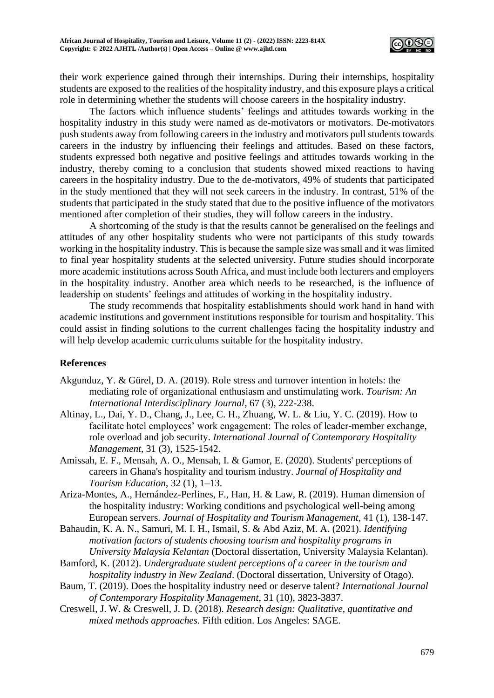

their work experience gained through their internships. During their internships, hospitality students are exposed to the realities of the hospitality industry, and this exposure plays a critical role in determining whether the students will choose careers in the hospitality industry.

The factors which influence students' feelings and attitudes towards working in the hospitality industry in this study were named as de-motivators or motivators. De-motivators push students away from following careers in the industry and motivators pull students towards careers in the industry by influencing their feelings and attitudes. Based on these factors, students expressed both negative and positive feelings and attitudes towards working in the industry, thereby coming to a conclusion that students showed mixed reactions to having careers in the hospitality industry. Due to the de-motivators, 49% of students that participated in the study mentioned that they will not seek careers in the industry. In contrast, 51% of the students that participated in the study stated that due to the positive influence of the motivators mentioned after completion of their studies, they will follow careers in the industry.

A shortcoming of the study is that the results cannot be generalised on the feelings and attitudes of any other hospitality students who were not participants of this study towards working in the hospitality industry. This is because the sample size was small and it was limited to final year hospitality students at the selected university. Future studies should incorporate more academic institutions across South Africa, and must include both lecturers and employers in the hospitality industry. Another area which needs to be researched, is the influence of leadership on students' feelings and attitudes of working in the hospitality industry.

The study recommends that hospitality establishments should work hand in hand with academic institutions and government institutions responsible for tourism and hospitality. This could assist in finding solutions to the current challenges facing the hospitality industry and will help develop academic curriculums suitable for the hospitality industry.

# **References**

- Akgunduz, Y. & Gürel, D. A. (2019). Role stress and turnover intention in hotels: the mediating role of organizational enthusiasm and unstimulating work. *Tourism: An International Interdisciplinary Journal*, 67 (3), 222-238.
- Altinay, L., Dai, Y. D., Chang, J., Lee, C. H., Zhuang, W. L. & Liu, Y. C. (2019). How to facilitate hotel employees' work engagement: The roles of leader-member exchange, role overload and job security. *International Journal of Contemporary Hospitality Management*, 31 (3), 1525-1542.
- Amissah, E. F., Mensah, A. O., Mensah, I. & Gamor, E. (2020). Students' perceptions of careers in Ghana's hospitality and tourism industry. *Journal of Hospitality and Tourism Education*, 32 (1), 1–13.
- Ariza-Montes, A., Hernández-Perlines, F., Han, H. & Law, R. (2019). Human dimension of the hospitality industry: Working conditions and psychological well-being among European servers. *Journal of Hospitality and Tourism Management*, 41 (1), 138-147.
- Bahaudin, K. A. N., Samuri, M. I. H., Ismail, S. & Abd Aziz, M. A. (2021). *Identifying motivation factors of students choosing tourism and hospitality programs in University Malaysia Kelantan* (Doctoral dissertation, University Malaysia Kelantan).
- Bamford, K. (2012). *Undergraduate student perceptions of a career in the tourism and hospitality industry in New Zealand*. (Doctoral dissertation, University of Otago).
- Baum, T. (2019). Does the hospitality industry need or deserve talent? *International Journal of Contemporary Hospitality Management*, 31 (10), 3823-3837.
- Creswell, J. W. & Creswell, J. D. (2018). *Research design: Qualitative, quantitative and mixed methods approaches.* Fifth edition. Los Angeles: SAGE.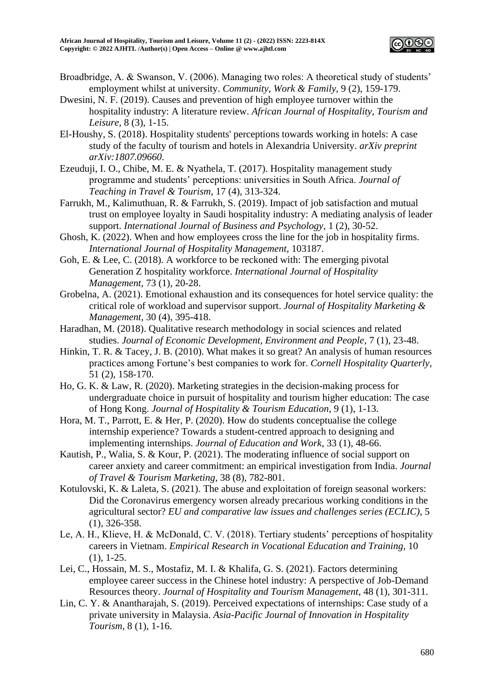

- Broadbridge, A. & Swanson, V. (2006). Managing two roles: A theoretical study of students' employment whilst at university. *Community, Work & Family*, 9 (2), 159-179.
- Dwesini, N. F. (2019). Causes and prevention of high employee turnover within the hospitality industry: A literature review. *African Journal of Hospitality, Tourism and Leisure*, 8 (3), 1-15.
- El-Houshy, S. (2018). Hospitality students' perceptions towards working in hotels: A case study of the faculty of tourism and hotels in Alexandria University. *arXiv preprint arXiv:1807.09660*.
- Ezeuduji, I. O., Chibe, M. E. & Nyathela, T. (2017). Hospitality management study programme and students' perceptions: universities in South Africa. *Journal of Teaching in Travel & Tourism*, 17 (4), 313-324.
- Farrukh, M., Kalimuthuan, R. & Farrukh, S. (2019). Impact of job satisfaction and mutual trust on employee loyalty in Saudi hospitality industry: A mediating analysis of leader support. *International Journal of Business and Psychology*, 1 (2), 30-52.
- Ghosh, K. (2022). When and how employees cross the line for the job in hospitality firms. *International Journal of Hospitality Management*, 103187.
- Goh, E. & Lee, C. (2018). A workforce to be reckoned with: The emerging pivotal Generation Z hospitality workforce. *International Journal of Hospitality Management*, 73 (1), 20-28.
- Grobelna, A. (2021). Emotional exhaustion and its consequences for hotel service quality: the critical role of workload and supervisor support. *Journal of Hospitality Marketing & Management*, 30 (4), 395-418.
- Haradhan, M. (2018). Qualitative research methodology in social sciences and related studies. *Journal of Economic Development, Environment and People*, 7 (1), 23-48.
- Hinkin, T. R. & Tacey, J. B. (2010). What makes it so great? An analysis of human resources practices among Fortune's best companies to work for. *Cornell Hospitality Quarterly*, 51 (2), 158-170.
- Ho, G. K. & Law, R. (2020). Marketing strategies in the decision-making process for undergraduate choice in pursuit of hospitality and tourism higher education: The case of Hong Kong. *Journal of Hospitality & Tourism Education*, 9 (1), 1-13.
- Hora, M. T., Parrott, E. & Her, P. (2020). How do students conceptualise the college internship experience? Towards a student-centred approach to designing and implementing internships. *Journal of Education and Work*, 33 (1), 48-66.
- Kautish, P., Walia, S. & Kour, P. (2021). The moderating influence of social support on career anxiety and career commitment: an empirical investigation from India. *Journal of Travel & Tourism Marketing*, 38 (8), 782-801.
- Kotulovski, K. & Laleta, S. (2021). The abuse and exploitation of foreign seasonal workers: Did the Coronavirus emergency worsen already precarious working conditions in the agricultural sector? *EU and comparative law issues and challenges series (ECLIC)*, 5 (1), 326-358.
- Le, A. H., Klieve, H. & McDonald, C. V. (2018). Tertiary students' perceptions of hospitality careers in Vietnam. *Empirical Research in Vocational Education and Training*, 10 (1), 1-25.
- Lei, C., Hossain, M. S., Mostafiz, M. I. & Khalifa, G. S. (2021). Factors determining employee career success in the Chinese hotel industry: A perspective of Job-Demand Resources theory. *Journal of Hospitality and Tourism Management*, 48 (1), 301-311.
- Lin, C. Y. & Anantharajah, S. (2019). Perceived expectations of internships: Case study of a private university in Malaysia. *Asia-Pacific Journal of Innovation in Hospitality Tourism*, 8 (1), 1-16.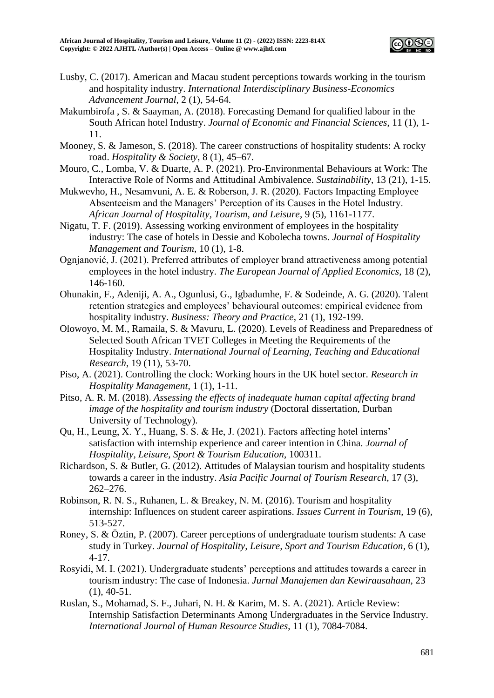

- Lusby, C. (2017). American and Macau student perceptions towards working in the tourism and hospitality industry. *International Interdisciplinary Business-Economics Advancement Journal*, 2 (1), 54-64.
- Makumbirofa , S. & Saayman, A. (2018). Forecasting Demand for qualified labour in the South African hotel Industry. *Journal of Economic and Financial Sciences*, 11 (1), 1- 11.
- Mooney, S. & Jameson, S. (2018). The career constructions of hospitality students: A rocky road. *Hospitality & Society*, 8 (1), 45–67.
- Mouro, C., Lomba, V. & Duarte, A. P. (2021). Pro-Environmental Behaviours at Work: The Interactive Role of Norms and Attitudinal Ambivalence. *Sustainability*, 13 (21), 1-15.
- Mukwevho, H., Nesamvuni, A. E. & Roberson, J. R. (2020). Factors Impacting Employee Absenteeism and the Managers' Perception of its Causes in the Hotel Industry. *African Journal of Hospitality, Tourism, and Leisure*, 9 (5), 1161-1177.
- Nigatu, T. F. (2019). Assessing working environment of employees in the hospitality industry: The case of hotels in Dessie and Kobolecha towns. *Journal of Hospitality Management and Tourism,* 10 (1), 1-8.
- Ognjanović, J. (2021). Preferred attributes of employer brand attractiveness among potential employees in the hotel industry. *The European Journal of Applied Economics*, 18 (2), 146-160.
- Ohunakin, F., Adeniji, A. A., Ogunlusi, G., Igbadumhe, F. & Sodeinde, A. G. (2020). Talent retention strategies and employees' behavioural outcomes: empirical evidence from hospitality industry. *Business: Theory and Practice*, 21 (1), 192-199.
- Olowoyo, M. M., Ramaila, S. & Mavuru, L. (2020). Levels of Readiness and Preparedness of Selected South African TVET Colleges in Meeting the Requirements of the Hospitality Industry. *International Journal of Learning, Teaching and Educational Research*, 19 (11), 53-70.
- Piso, A. (2021). Controlling the clock: Working hours in the UK hotel sector. *Research in Hospitality Management*, 1 (1), 1-11.
- Pitso, A. R. M. (2018). *Assessing the effects of inadequate human capital affecting brand image of the hospitality and tourism industry* (Doctoral dissertation, Durban University of Technology).
- Qu, H., Leung, X. Y., Huang, S. S. & He, J. (2021). Factors affecting hotel interns' satisfaction with internship experience and career intention in China. *Journal of Hospitality, Leisure, Sport & Tourism Education*, 100311.
- Richardson, S. & Butler, G. (2012). Attitudes of Malaysian tourism and hospitality students towards a career in the industry. *Asia Pacific Journal of Tourism Research*, 17 (3), 262–276.
- Robinson, R. N. S., Ruhanen, L. & Breakey, N. M. (2016). Tourism and hospitality internship: Influences on student career aspirations. *Issues Current in Tourism*, 19 (6), 513-527.
- Roney, S. & Öztin, P. (2007). Career perceptions of undergraduate tourism students: A case study in Turkey. *Journal of Hospitality, Leisure, Sport and Tourism Education*, 6 (1), 4-17.
- Rosyidi, M. I. (2021). Undergraduate students' perceptions and attitudes towards a career in tourism industry: The case of Indonesia. *Jurnal Manajemen dan Kewirausahaan*, 23 (1), 40-51.
- Ruslan, S., Mohamad, S. F., Juhari, N. H. & Karim, M. S. A. (2021). Article Review: Internship Satisfaction Determinants Among Undergraduates in the Service Industry. *International Journal of Human Resource Studies*, 11 (1), 7084-7084.